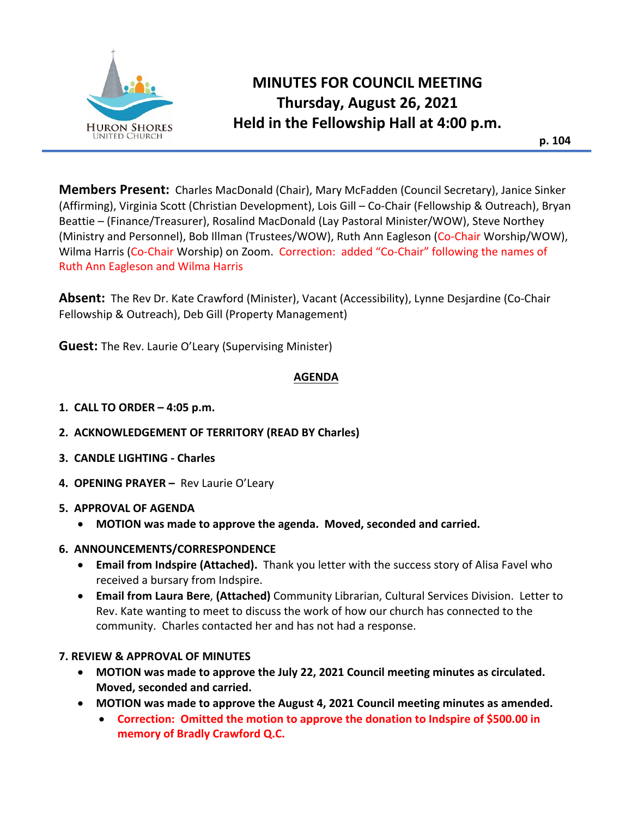

# **MINUTES FOR COUNCIL MEETING Thursday, August 26, 2021 Held in the Fellowship Hall at 4:00 p.m.**

**p. 104**

**Members Present:** Charles MacDonald (Chair), Mary McFadden (Council Secretary), Janice Sinker (Affirming), Virginia Scott (Christian Development), Lois Gill – Co-Chair (Fellowship & Outreach), Bryan Beattie – (Finance/Treasurer), Rosalind MacDonald (Lay Pastoral Minister/WOW), Steve Northey (Ministry and Personnel), Bob Illman (Trustees/WOW), Ruth Ann Eagleson (Co-Chair Worship/WOW), Wilma Harris (Co-Chair Worship) on Zoom. Correction: added "Co-Chair" following the names of Ruth Ann Eagleson and Wilma Harris

**Absent:** The Rev Dr. Kate Crawford (Minister), Vacant (Accessibility), Lynne Desjardine (Co-Chair Fellowship & Outreach), Deb Gill (Property Management)

**Guest:** The Rev. Laurie O'Leary (Supervising Minister)

# **AGENDA**

- **1. CALL TO ORDER – 4:05 p.m.**
- **2. ACKNOWLEDGEMENT OF TERRITORY (READ BY Charles)**
- **3. CANDLE LIGHTING - Charles**
- **4. OPENING PRAYER** Rev Laurie O'Leary

# **5. APPROVAL OF AGENDA**

- **MOTION was made to approve the agenda. Moved, seconded and carried.**
- **6. ANNOUNCEMENTS/CORRESPONDENCE** 
	- **Email from Indspire (Attached).** Thank you letter with the success story of Alisa Favel who received a bursary from Indspire.
	- **Email from Laura Bere**, **(Attached)** Community Librarian, Cultural Services Division. Letter to Rev. Kate wanting to meet to discuss the work of how our church has connected to the community. Charles contacted her and has not had a response.

# **7. REVIEW & APPROVAL OF MINUTES**

- **MOTION was made to approve the July 22, 2021 Council meeting minutes as circulated. Moved, seconded and carried.**
- **MOTION was made to approve the August 4, 2021 Council meeting minutes as amended.**
	- **Correction: Omitted the motion to approve the donation to Indspire of \$500.00 in memory of Bradly Crawford Q.C.**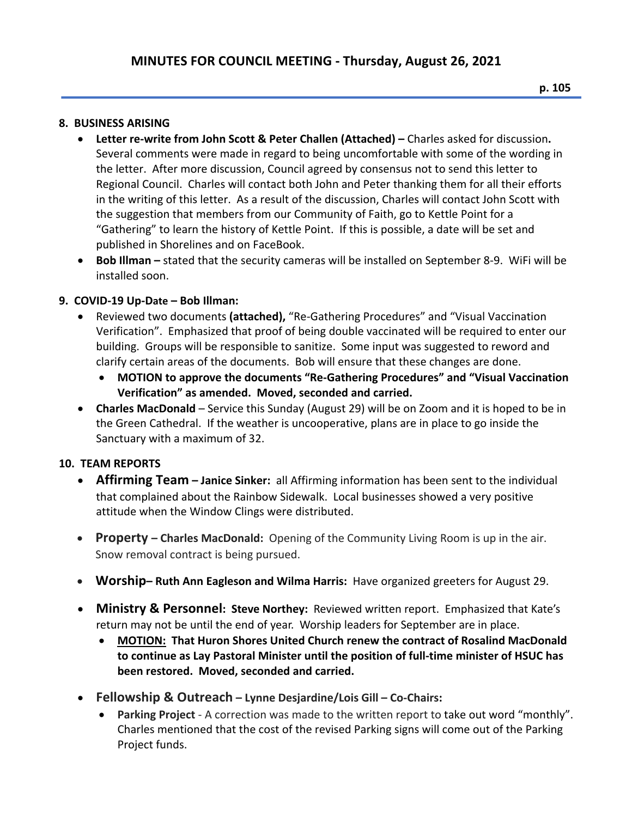#### **8. BUSINESS ARISING**

- **Letter re-write from John Scott & Peter Challen (Attached) –** Charles asked for discussion**.**  Several comments were made in regard to being uncomfortable with some of the wording in the letter. After more discussion, Council agreed by consensus not to send this letter to Regional Council. Charles will contact both John and Peter thanking them for all their efforts in the writing of this letter. As a result of the discussion, Charles will contact John Scott with the suggestion that members from our Community of Faith, go to Kettle Point for a "Gathering" to learn the history of Kettle Point. If this is possible, a date will be set and published in Shorelines and on FaceBook.
- **Bob Illman –** stated that the security cameras will be installed on September 8-9. WiFi will be installed soon.

#### **9. COVID-19 Up-Date – Bob Illman:**

- Reviewed two documents **(attached),** "Re-Gathering Procedures" and "Visual Vaccination Verification". Emphasized that proof of being double vaccinated will be required to enter our building. Groups will be responsible to sanitize. Some input was suggested to reword and clarify certain areas of the documents. Bob will ensure that these changes are done.
	- **MOTION to approve the documents "Re-Gathering Procedures" and "Visual Vaccination Verification" as amended. Moved, seconded and carried.**
- **Charles MacDonald** Service this Sunday (August 29) will be on Zoom and it is hoped to be in the Green Cathedral. If the weather is uncooperative, plans are in place to go inside the Sanctuary with a maximum of 32.

#### **10. TEAM REPORTS**

- **Affirming Team – Janice Sinker:** all Affirming information has been sent to the individual that complained about the Rainbow Sidewalk. Local businesses showed a very positive attitude when the Window Clings were distributed.
- **Property – Charles MacDonald:** Opening of the Community Living Room is up in the air. Snow removal contract is being pursued.
- **Worship– Ruth Ann Eagleson and Wilma Harris:** Have organized greeters for August 29.
- **Ministry & Personnel: Steve Northey:** Reviewed written report. Emphasized that Kate's return may not be until the end of year. Worship leaders for September are in place.
	- **MOTION: That Huron Shores United Church renew the contract of Rosalind MacDonald to continue as Lay Pastoral Minister until the position of full-time minister of HSUC has been restored. Moved, seconded and carried.**
- **Fellowship & Outreach – Lynne Desjardine/Lois Gill – Co-Chairs:** 
	- **Parking Project** A correction was made to the written report to take out word "monthly". Charles mentioned that the cost of the revised Parking signs will come out of the Parking Project funds.